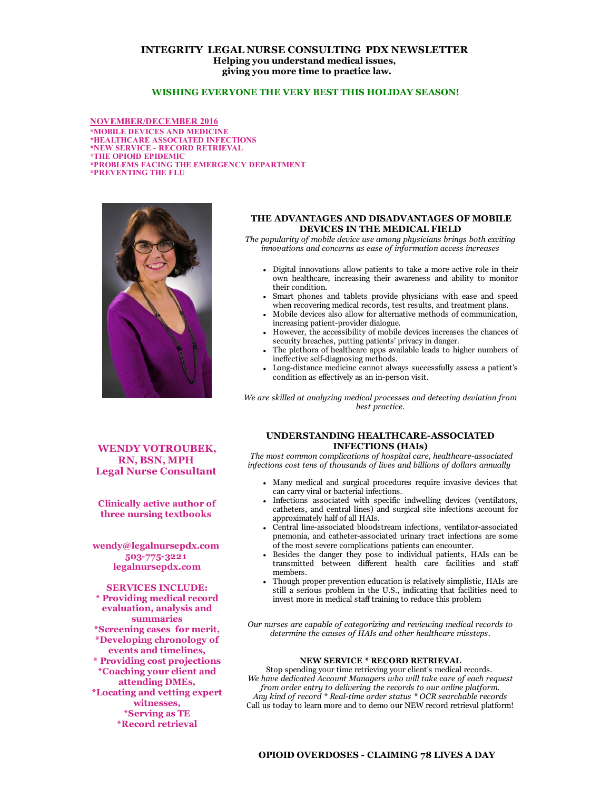# INTEGRITY LEGAL NURSE CONSULTING PDX NEWSLETTER Helping you understand medical issues, giving you more time to practice law.

# WISHING EVERYONE THE VERY BEST THIS HOLIDAY SEASON!

NOVEMBER/DECEMBER 2016 \*MOBILE DEVICES AND MEDICINE \*HEALTHCARE ASSOCIATED INFECTIONS \*NEW SERVICE RECORD RETRIEVAL \*THE OPIOID EPIDEMIC \*PROBLEMS FACING THE EMERGENCY DEPARTMENT \*PREVENTING THE FLU



WENDY VOTROUBEK, RN, BSN, MPH Legal Nurse Consultant

Clinically active author of three nursing textbooks

wendy@legalnursepdx.com 5037753221 legalnursepdx.com

SERVICES INCLUDE: \* Providing medical record evaluation, analysis and summaries \*Screening cases for merit, \*Developing chronology of events and timelines, \* Providing cost projections \*Coaching your client and attending DMEs, \*Locating and vetting expert witnesses, \*Serving as TE \*Record retrieval

### THE ADVANTAGES AND DISADVANTAGES OF MOBILE DEVICES IN THE MEDICAL FIELD

The popularity of mobile device use among physicians brings both exciting innovations and concerns as ease of information access increases

- Digital innovations allow patients to take a more active role in their own healthcare, increasing their awareness and ability to monitor their condition.
- Smart phones and tablets provide physicians with ease and speed when recovering medical records, test results, and treatment plans.
- Mobile devices also allow for alternative methods of communication, increasing patient-provider dialogue.
- However, the accessibility of mobile devices increases the chances of security breaches, putting patients' privacy in danger.
- The plethora of healthcare apps available leads to higher numbers of ineffective self-diagnosing methods.
- Long-distance medicine cannot always successfully assess a patient's condition as effectively as an in-person visit.

We are skilled at analyzing medical processes and detecting deviation from best practice.

### UNDERSTANDING HEALTHCARE-ASSOCIATED INFECTIONS (HAIs)

The most common complications of hospital care, healthcare-associated infections cost tens of thousands of lives and billions of dollars annually

- Many medical and surgical procedures require invasive devices that can carry viral or bacterial infections.
- Infections associated with specific indwelling devices (ventilators, catheters, and central lines) and surgical site infections account for approximately half of all HAIs.
- Central line-associated bloodstream infections, ventilator-associated pnemonia, and catheter-associated urinary tract infections are some of the most severe complications patients can encounter.
- Besides the danger they pose to individual patients, HAIs can be transmitted between different health care facilities and staff members.
- Though proper prevention education is relatively simplistic, HAIs are still a serious problem in the U.S., indicating that facilities need to invest more in medical staff training to reduce this problem

Our nurses are capable of categorizing and reviewing medical records to determine the causes of HAIs and other healthcare missteps.

## NEW SERVICE \* RECORD RETRIEVAL

Stop spending your time retrieving your client's medical records. We have dedicated Account Managers who will take care of each request from order entry to delivering the records to our online platform. Any kind of record \* Real-time order status \* OCR searchable records Call us today to learn more and to demo our NEW record retrieval platform!